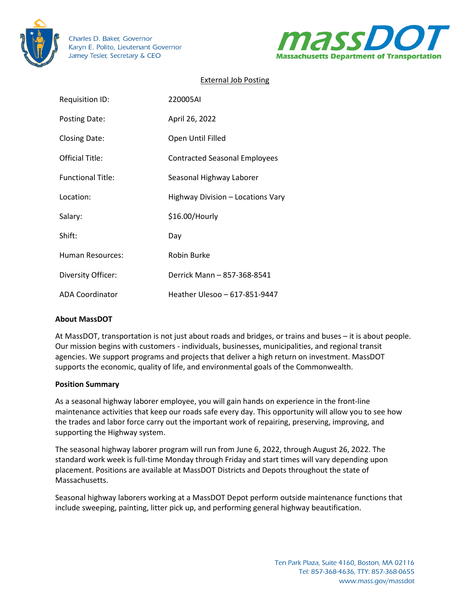

Charles D. Baker, Governor Karyn E. Polito, Lieutenant Governor Jamey Tesler, Secretary & CEO



# External Job Posting

| Requisition ID:          | 220005AI                             |
|--------------------------|--------------------------------------|
| Posting Date:            | April 26, 2022                       |
| Closing Date:            | Open Until Filled                    |
| Official Title:          | <b>Contracted Seasonal Employees</b> |
| <b>Functional Title:</b> | Seasonal Highway Laborer             |
| Location:                | Highway Division - Locations Vary    |
| Salary:                  | \$16.00/Hourly                       |
| Shift:                   | Day                                  |
| Human Resources:         | Robin Burke                          |
| Diversity Officer:       | Derrick Mann - 857-368-8541          |
| <b>ADA Coordinator</b>   | Heather Ulesoo - 617-851-9447        |

## **About MassDOT**

At MassDOT, transportation is not just about roads and bridges, or trains and buses – it is about people. Our mission begins with customers - individuals, businesses, municipalities, and regional transit agencies. We support programs and projects that deliver a high return on investment. MassDOT supports the economic, quality of life, and environmental goals of the Commonwealth.

#### **Position Summary**

As a seasonal highway laborer employee, you will gain hands on experience in the front-line maintenance activities that keep our roads safe every day. This opportunity will allow you to see how the trades and labor force carry out the important work of repairing, preserving, improving, and supporting the Highway system.

The seasonal highway laborer program will run from June 6, 2022, through August 26, 2022. The standard work week is full-time Monday through Friday and start times will vary depending upon placement. Positions are available at MassDOT Districts and Depots throughout the state of Massachusetts.

Seasonal highway laborers working at a MassDOT Depot perform outside maintenance functions that include sweeping, painting, litter pick up, and performing general highway beautification.